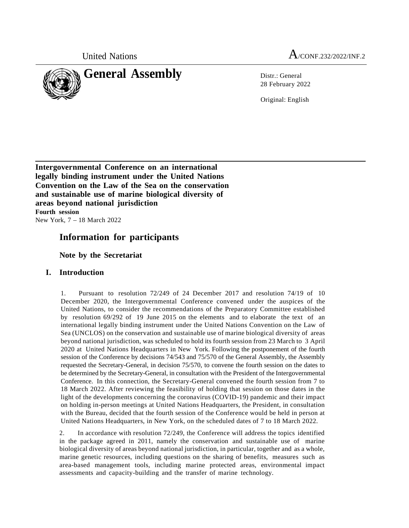

United Nations  $A_{\text{/CONF.}232/2022/INF.2}$ 

28 February 2022

Original: English

**Intergovernmental Conference on an international legally binding instrument under the United Nations Convention on the Law of the Sea on the conservation and sustainable use of marine biological diversity of areas beyond national jurisdiction Fourth session** New York, 7 – 18 March 2022

# **Information for participants**

**Note by the Secretariat**

# **I. Introduction**

1. Pursuant to resolution 72/249 of 24 December 2017 and resolution 74/19 of 10 December 2020, the Intergovernmental Conference convened under the auspices of the United Nations, to consider the recommendations of the Preparatory Committee established by resolution 69/292 of 19 June 2015 on the elements and to elaborate the text of an international legally binding instrument under the United Nations Convention on the Law of Sea (UNCLOS) on the conservation and sustainable use of marine biological diversity of areas beyond national jurisdiction, was scheduled to hold its fourth session from 23 March to 3 April 2020 at United Nations Headquarters in New York. Following the postponement of the fourth session of the Conference by decisions 74/543 and 75/570 of the General Assembly, the Assembly requested the Secretary-General, in decision 75/570, to convene the fourth session on the dates to be determined by the Secretary-General, in consultation with the President of the Intergovernmental Conference. In this connection, the Secretary-General convened the fourth session from 7 to 18 March 2022. After reviewing the feasibility of holding that session on those dates in the light of the developments concerning the coronavirus (COVID-19) pandemic and their impact on holding in-person meetings at United Nations Headquarters, the President, in consultation with the Bureau, decided that the fourth session of the Conference would be held in person at United Nations Headquarters, in New York, on the scheduled dates of 7 to 18 March 2022.

2. In accordance with resolution 72/249, the Conference will address the topics identified in the package agreed in 2011, namely the conservation and sustainable use of marine biological diversity of areas beyond national jurisdiction, in particular, together and as a whole, marine genetic resources, including questions on the sharing of benefits, measures such as area-based management tools, including marine protected areas, environmental impact assessments and capacity-building and the transfer of marine technology.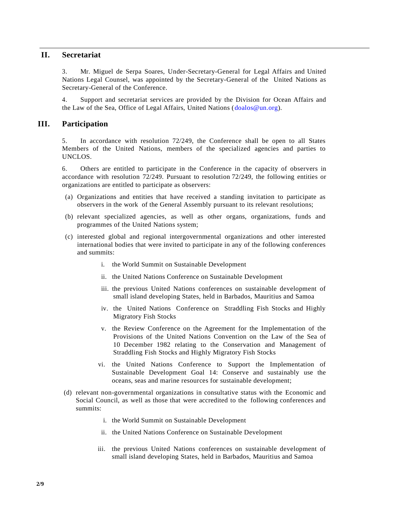# **II. Secretariat**

3. Mr. Miguel de Serpa [Soares,](http://legal.un.org/ola/div_ousg.aspx?section=ousg) Under-Secretary-General for Legal Affairs and United Nations Legal Counsel, was appointed by the Secretary-General of the United Nations as Secretary-General of the Conference.

4. Support and secretariat services are provided by the [Division](http://www.un.org/depts/los/biodiversity/prepcom.htm) for Ocean Affairs and the [Law of](http://www.un.org/depts/los/biodiversity/prepcom.htm) the Sea, Office of Legal Affairs, United Nations [\(doalos@un.org\)](mailto:doalos@un.org).

### **III. Participation**

5. In accordance with resolution 72/249, the Conference shall be open to all States Members of the United Nations, members of the specialized agencies and parties to UNCLOS.

6. Others are entitled to participate in the Conference in the capacity of observers in accordance with resolution 72/249. Pursuant to resolution 72/249, the following entities or organizations are entitled to participate as observers:

- (a) Organizations and entities that have received a standing invitation to participate as observers in the work of the General Assembly pursuant to its relevant resolutions;
- (b) relevant specialized agencies, as well as other organs, organizations, funds and programmes of the United Nations system;
- (c) interested global and regional intergovernmental organizations and other interested international bodies that were invited to participate in any of the following conferences and summits:
	- i. the World Summit on Sustainable Development
	- ii. the United Nations Conference on Sustainable Development
	- iii. the previous United Nations conferences on sustainable development of small island developing States, held in Barbados, Mauritius and Samoa
	- iv. the United Nations Conference on Straddling Fish Stocks and Highly Migratory Fish Stocks
	- v. the Review Conference on the Agreement for the Implementation of the Provisions of the United Nations Convention on the Law of the Sea of 10 December 1982 relating to the Conservation and Management of Straddling Fish Stocks and Highly Migratory Fish Stocks
	- vi. the United Nations Conference to Support the Implementation of Sustainable Development Goal 14: Conserve and sustainably use the oceans, seas and marine resources for sustainable development;
- (d) relevant non-governmental organizations in consultative status with the Economic and Social Council, as well as those that were accredited to the following conferences and summits:
	- i. the World Summit on Sustainable Development
	- ii. the United Nations Conference on Sustainable Development
	- iii. the previous United Nations conferences on sustainable development of small island developing States, held in Barbados, Mauritius and Samoa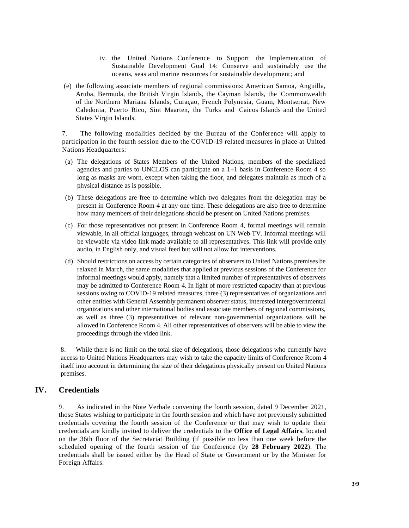- iv. the United Nations Conference to Support the Implementation of Sustainable Development Goal 14: Conserve and sustainably use the oceans, seas and marine resources for sustainable development; and
- (e) the following associate members of regional commissions: American Samoa, Anguilla, Aruba, Bermuda, the British Virgin Islands, the Cayman Islands, the Commonwealth of the Northern Mariana Islands, Curaçao, French Polynesia, Guam, Montserrat, New Caledonia, Puerto Rico, Sint Maarten, the Turks and Caicos Islands and the United States Virgin Islands.

7. The following modalities decided by the Bureau of the Conference will apply to participation in the fourth session due to the COVID-19 related measures in place at United Nations Headquarters:

- (a) The delegations of States Members of the United Nations, members of the specialized agencies and parties to UNCLOS can participate on a  $1+1$  basis in Conference Room 4 so long as masks are worn, except when taking the floor, and delegates maintain as much of a physical distance as is possible.
- (b) These delegations are free to determine which two delegates from the delegation may be present in Conference Room 4 at any one time. These delegations are also free to determine how many members of their delegations should be present on United Nations premises.
- (c) For those representatives not present in Conference Room 4, formal meetings will remain viewable, in all official languages, through webcast on UN Web TV. Informal meetings will be viewable via video link made available to all representatives. This link will provide only audio, in English only, and visual feed but will not allow for interventions.
- (d) Should restrictions on access by certain categories of observers to United Nations premises be relaxed in March, the same modalities that applied at previous sessions of the Conference for informal meetings would apply, namely that a limited number of representatives of observers may be admitted to Conference Room 4. In light of more restricted capacity than at previous sessions owing to COVID-19 related measures, three (3) representatives of organizations and other entities with General Assembly permanent observer status, interested intergovernmental organizations and other international bodies and associate members of regional commissions, as well as three (3) representatives of relevant non-governmental organizations will be allowed in Conference Room 4. All other representatives of observers will be able to view the proceedings through the video link.

8. While there is no limit on the total size of delegations, those delegations who currently have access to United Nations Headquarters may wish to take the capacity limits of Conference Room 4 itself into account in determining the size of their delegations physically present on United Nations premises.

# **IV. Credentials**

9. As indicated in the Note Verbale convening the fourth session, dated 9 December 2021, those States wishing to participate in the fourth session and which have not previously submitted credentials covering the fourth session of the Conference or that may wish to update their credentials are kindly invited to deliver the credentials to the **Office of Legal Affairs**, located on the 36th floor of the Secretariat Building (if possible no less than one week before the scheduled opening of the fourth session of the Conference (by **28 February 2022**). The credentials shall be issued either by the Head of State or Government or by the Minister for Foreign Affairs.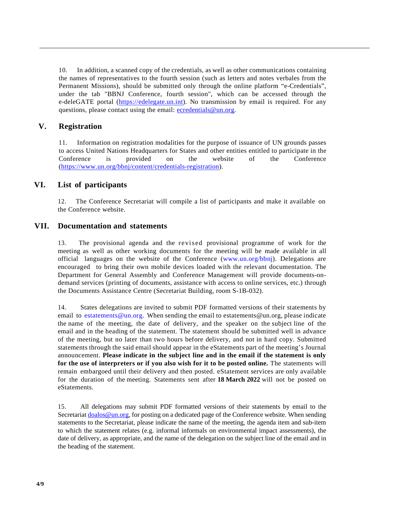10. In addition, a scanned copy of the credentials, as well as other communications containing the names of representatives to the fourth session (such as letters and notes verbales from the Permanent Missions), should be submitted only through the online platform "e-Credentials", under the tab "BBNJ Conference, fourth session", which can be accessed through the e-deleGATE portal [\(https://edelegate.un.int\)](https://edelegate.un.int/). No transmission by email is required. For any questions, please contact using the email: [ecredentials@un.org.](mailto:ecredentials@un.org)

# **V. Registration**

11. Information on registration modalities for the purpose of issuance of UN grounds passes to access United Nations Headquarters for States and other entities entitled to participate in the Conference is provided on the website of the Conference [\(https://www.un.org/bbnj/content/credentials-registration\)](https://www.un.org/bbnj/content/credentials-registration).

# **VI. List of participants**

12. The Conference Secretariat will compile a list of participants and make it available on the Conference website.

# **VII. Documentation and statements**

13. The provisional agenda and the revised provisional programme of work for the meeting as well as other working documents for the meeting will be made available in all official languages on the website of the Conference [\(www.un.org/bbnj\).](http://www.un.org/bbnj)) Delegations are encouraged to bring their own mobile devices loaded with the relevant documentation. The Department for General Assembly and Conference Management will provide documents-ondemand services (printing of documents, assistance with access to online services, etc.) through the Documents Assistance Centre (Secretariat Building, room S-1B-032).

14. States delegations are invited to submit PDF formatted versions of their statements by email to [estatements@un.org.](mailto:papersmart5@un.org) When sending the email to [estatements@un.org,](mailto:estatements@un.org) please indicate the name of the meeting, the date of delivery, and the speaker on the subject line of the email and in the heading of the statement. The statement should be submitted well in advance of the meeting, but no later than two hours before delivery, and not in hard copy. Submitted statements through the said email should appear in the eStatements part of the meeting's Journal announcement. **Please indicate in the subject line and in the email if the statement is only for the use of interpreters or if you also wish for it to be posted online.** The statements will remain embargoed until their delivery and then posted. eStatement services are only available for the duration of the meeting. Statements sent after **18 March 2022** will not be posted on eStatements.

15. All delegations may submit PDF formatted versions of their statements by email to the Secretariat **doalos@un.org**, for posting on a dedicated page of the Conference website. When sending statements to the Secretariat, please indicate the name of the meeting, the agenda item and sub-item to which the statement relates (e.g. informal informals on environmental impact assessments), the date of delivery, as appropriate, and the name of the delegation on the subject line of the email and in the heading of the statement.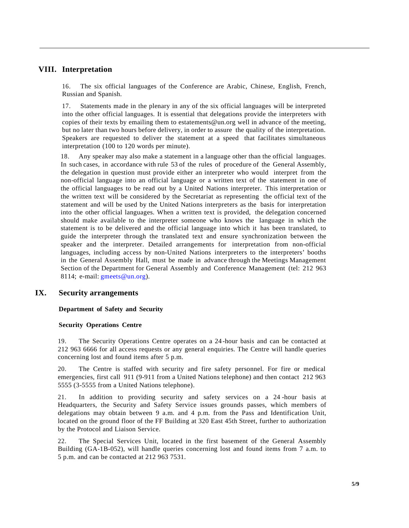# **VIII. Interpretation**

16. The six official languages of the Conference are Arabic, Chinese, English, French, Russian and Spanish.

17. Statements made in the plenary in any of the six official languages will be interpreted into the other official languages. It is essential that delegations provide the interpreters with copies of their texts by emailing them to [estatements@un.org](mailto:estatements@un.org) well in advance of the meeting, but no later than two hours before delivery, in order to assure the quality of the interpretation. Speakers are requested to deliver the statement at a speed that facilitates simultaneous interpretation (100 to 120 words per minute).

18. Any speaker may also make a statement in a language other than the official languages. In such cases, in accordance with rule 53 of the rules of procedure of the General Assembly, the delegation in question must provide either an interpreter who would interpret from the non-official language into an official language or a written text of the statement in one of the official languages to be read out by a United Nations interpreter. This interpretation or the written text will be considered by the Secretariat as representing the official text of the statement and will be used by the United Nations interpreters as the basis for interpretation into the other official languages. When a written text is provided, the delegation concerned should make available to the interpreter someone who knows the language in which the statement is to be delivered and the official language into which it has been translated, to guide the interpreter through the translated text and ensure synchronization between the speaker and the interpreter. Detailed arrangements for interpretation from non-official languages, including access by non-United Nations interpreters to the interpreters' booths in the General Assembly Hall, must be made in advance through the Meetings Management Section of the Department for General Assembly and Conference Management (tel: 212 963 8114; e-mail: gmeets@un.org).

# **IX. Security arrangements**

#### **Department of Safety and Security**

#### **Security Operations Centre**

19. The Security Operations Centre operates on a 24 -hour basis and can be contacted at 212 963 6666 for all access requests or any general enquiries. The Centre will handle queries concerning lost and found items after 5 p.m.

20. The Centre is staffed with security and fire safety personnel. For fire or medical emergencies, first call 911 (9-911 from a United Nations telephone) and then contact 212 963 5555 (3-5555 from a United Nations telephone).

21. In addition to providing security and safety services on a 24 -hour basis at Headquarters, the Security and Safety Service issues grounds passes, which members of delegations may obtain between 9 a.m. and 4 p.m. from the Pass and Identification Unit, located on the ground floor of the FF Building at 320 East 45th Street, further to authorization by the Protocol and Liaison Service.

22. The Special Services Unit, located in the first basement of the General Assembly Building (GA-1B-052), will handle queries concerning lost and found items from 7 a.m. to 5 p.m. and can be contacted at 212 963 7531.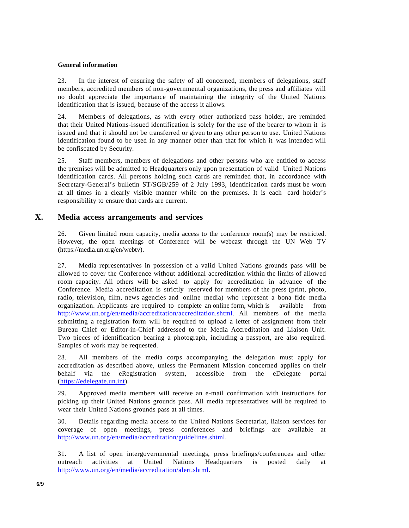#### **General information**

23. In the interest of ensuring the safety of all concerned, members of delegations, staff members, accredited members of non-governmental organizations, the press and affiliates will no doubt appreciate the importance of maintaining the integrity of the United Nations identification that is issued, because of the access it allows.

24. Members of delegations, as with every other authorized pass holder, are reminded that their United Nations-issued identification is solely for the use of the bearer to whom it is issued and that it should not be transferred or given to any other person to use. United Nations identification found to be used in any manner other than that for which it was intended will be confiscated by Security.

25. Staff members, members of delegations and other persons who are entitled to access the premises will be admitted to Headquarters only upon presentation of valid United Nations identification cards. All persons holding such cards are reminded that, in accordance with Secretary-General's bulletin ST/SGB/259 of 2 July 1993, identification cards must be worn at all times in a clearly visible manner while on the premises. It is each card holder's responsibility to ensure that cards are current.

### **X. Media access arrangements and services**

26. Given limited room capacity, media access to the conference room(s) may be restricted. However, the open meetings of Conference will be webcast through the UN Web TV (https://media.un.org/en/webtv).

27. Media representatives in possession of a valid United Nations grounds pass will be allowed to cover the Conference without additional accreditation within the limits of allowed room capacity. All others will be asked to apply for accreditation in advance of the Conference. Media accreditation is strictly reserved for members of the press (print, photo, radio, television, film, news agencies and online media) who represent a bona fide media organization. Applicants are required to complete an online form, which is available from [http://www.un.org/en/media/accreditation/accreditation.shtml.](http://www.un.org/en/media/accreditation/accreditation.shtml) All members of the media submitting a registration form will be required to upload a letter of assignment from their Bureau Chief or Editor-in-Chief addressed to the Media Accreditation and Liaison Unit. Two pieces of identification bearing a photograph, including a passport, are also required. Samples of work may be requested.

28. All members of the media corps accompanying the delegation must apply for accreditation as described above, unless the Permanent Mission concerned applies on their behalf via the eRegistration system, accessible from the eDelegate portal [\(https://edelegate.un.int\)](https://edelegate.un.int/).

29. Approved media members will receive an e-mail confirmation with instructions for picking up their United Nations grounds pass. All media representatives will be required to wear their United Nations grounds pass at all times.

30. Details regarding media access to the United Nations Secretariat, liaison services for coverage of open meetings, press conferences and briefings are available at [http://www.un.org/en/media/accreditation/guidelines.shtml.](http://www.un.org/en/media/accreditation/guidelines.shtml)

31. A list of open intergovernmental meetings, press briefings/conferences and other outreach activities at United Nations Headquarters is posted daily at [http://www.un.org/en/media/accreditation/alert.shtml.](http://www.un.org/en/media/accreditation/alert.shtml)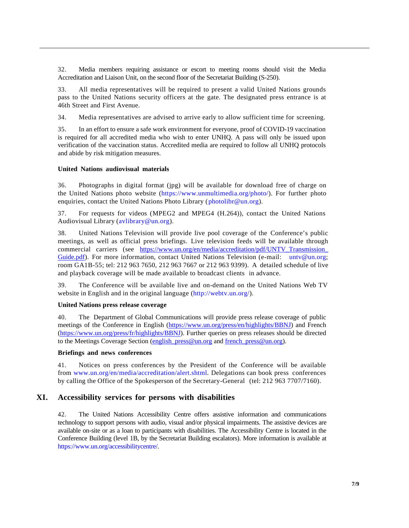32. Media members requiring assistance or escort to meeting rooms should visit the Media Accreditation and Liaison Unit, on the second floor of the Secretariat Building (S-250).

33. All media representatives will be required to present a valid United Nations grounds pass to the United Nations security officers at the gate. The designated press entrance is at 46th Street and First Avenue.

34. Media representatives are advised to arrive early to allow sufficient time for screening.

35. In an effort to ensure a safe work environment for everyone, proof of COVID-19 vaccination is required for all accredited media who wish to enter UNHQ. A pass will only be issued upon verification of the vaccination status. Accredited media are required to follow all UNHQ protocols and abide by risk mitigation measures.

#### **United Nations audiovisual materials**

36. Photographs in digital format (jpg) will be available for download free of charge on the United Nations photo website [\(https://www.unmultimedia.org/photo/\)](https://www.unmultimedia.org/photo/). For further photo enquiries, contact the United Nations Photo Library [\(photolibr@un.org\)](mailto:photolibr@un.org).

37. For requests for videos (MPEG2 and MPEG4 (H.264)), contact the United Nations Audiovisual Library (avlibrary@un.org).

38. United Nations Television will provide live pool coverage of the Conference's public meetings, as well as official press briefings. Live television feeds will be available through commercial carriers (see [https://www.un.org/en/media/accreditation/pdf/UNTV\\_Transmission\\_](https://www.un.org/en/media/accreditation/pdf/UNTV_Transmission_Guide.pdf) [Guide.pdf\)](https://www.un.org/en/media/accreditation/pdf/UNTV_Transmission_Guide.pdf). For more information, contact United Nations Television (e-mail: untv@un.org; room GA1B-55; tel: 212 963 7650, 212 963 7667 or 212 963 9399). A detailed schedule of live and playback coverage will be made available to broadcast clients in advance.

39. The Conference will be available live and on-demand on the United Nations Web TV website in English and in the original language [\(http://webtv.un.org/\)](http://webtv.un.org/).

#### **United Nations press release coverage**

40. The Department of Global Communications will provide press release coverage of public meetings of the Conference in English [\(https://www.un.org/press/en/highlights/BBNJ\)](https://www.un.org/press/en/highlights/BBNJ) and French [\(https://www.un.org/press/fr/highlights/BBNJ\)](https://www.un.org/press/fr/highlights/BBNJ). Further queries on press releases should be directed to the Meetings Coverage Section (english press@un.org and french press@un.org).

#### **Briefings and news conferences**

41. Notices on press conferences by the President of the Conference will be available from [www.un.org/en/media/accreditation/alert.shtml.](http://www.un.org/en/media/accreditation/alert.shtml) Delegations can book press conferences by calling the Office of the Spokesperson of the Secretary-General (tel: 212 963 7707/7160).

### **XI. Accessibility services for persons with disabilities**

42. The United Nations Accessibility Centre offers assistive information and communications technology to support persons with audio, visual and/or physical impairments. The assistive devices are available on-site or as a loan to participants with disabilities. The Accessibility Centre is located in the Conference Building (level 1B, by the Secretariat Building escalators). More information is available at [https://www.un.org/accessibilitycentre/.](https://www.un.org/accessibilitycentre/)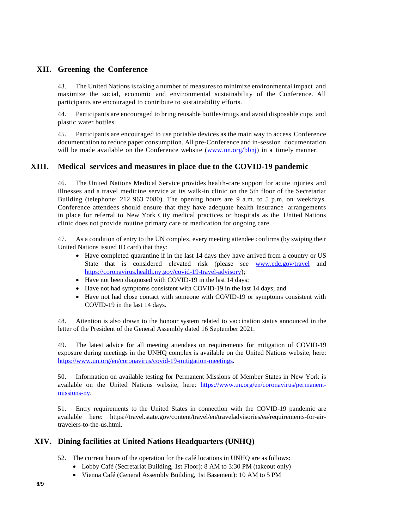# **XII. Greening the Conference**

43. The United Nations istaking a number of measuresto minimize environmental impact and maximize the social, economic and environmental sustainability of the Conference. All participants are encouraged to contribute to sustainability efforts.

44. Participants are encouraged to bring reusable bottles/mugs and avoid disposable cups and plastic water bottles.

45. Participants are encouraged to use portable devices as the main way to access Conference documentation to reduce paper consumption. All pre-Conference and in-session documentation will be made available on the Conference website [\(www.un.org/bbnj\)](http://www.un.org/bbnj) in a timely manner.

# **XIII. Medical services and measures in place due to the COVID-19 pandemic**

46. The United Nations Medical Service provides health-care support for acute injuries and illnesses and a travel medicine service at its walk-in clinic on the 5th floor of the Secretariat Building (telephone: 212 963 7080). The opening hours are 9 a.m. to 5 p.m. on weekdays. Conference attendees should ensure that they have adequate health insurance arrangements in place for referral to New York City medical practices or hospitals as the United Nations clinic does not provide routine primary care or medication for ongoing care.

47. As a condition of entry to the UN complex, every meeting attendee confirms (by swiping their United Nations issued ID card) that they:

- Have completed quarantine if in the last 14 days they have arrived from a country or US State that is considered elevated risk (please see [www.cdc.gov/travel](http://www.cdc.gov/travel) and [https://coronavirus.health.ny.gov/covid-19-travel-advisory\)](https://coronavirus.health.ny.gov/covid-19-travel-advisory);
- Have not been diagnosed with COVID-19 in the last 14 days;
- Have not had symptoms consistent with COVID-19 in the last 14 days; and
- Have not had close contact with someone with COVID-19 or symptoms consistent with COVID-19 in the last 14 days.

48. Attention is also drawn to the honour system related to vaccination status announced in the letter of the President of the General Assembly dated 16 September 2021.

49. The latest advice for all meeting attendees on requirements for mitigation of COVID-19 exposure during meetings in the UNHQ complex is available on the United Nations website, here: [https://www.un.org/en/coronavirus/covid-19-mitigation-meetings.](https://www.un.org/en/coronavirus/covid-19-mitigation-meetings)

50. Information on available testing for Permanent Missions of Member States in New York is available on the United Nations website, here: [https://www.un.org/en/coronavirus/permanent](https://www.un.org/en/coronavirus/permanent-missions-ny)[missions-ny.](https://www.un.org/en/coronavirus/permanent-missions-ny)

51. Entry requirements to the United States in connection with the COVID-19 pandemic are available here: https://travel.state.gov/content/travel/en/traveladvisories/ea/requirements-for-airtravelers-to-the-us.html.

# **XIV. Dining facilities at United Nations Headquarters (UNHQ)**

- 52. The current hours of the operation for the café locations in UNHQ are as follows:
	- Lobby Café (Secretariat Building, 1st Floor): 8 AM to 3:30 PM (takeout only)
	- Vienna Café (General Assembly Building, 1st Basement): 10 AM to 5 PM